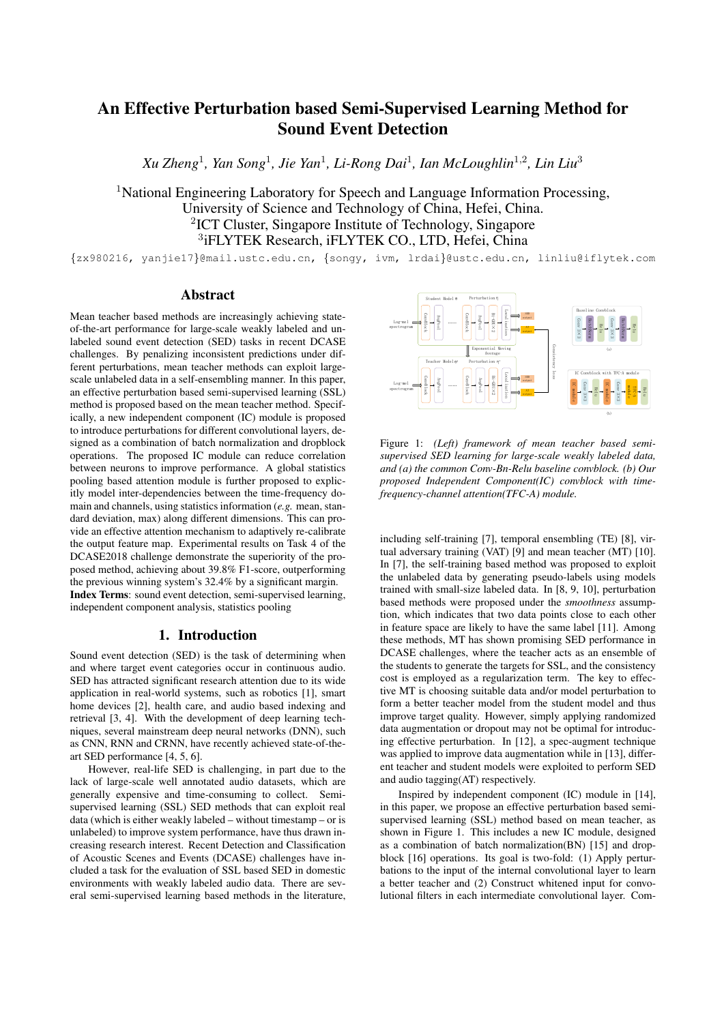# An Effective Perturbation based Semi-Supervised Learning Method for Sound Event Detection

 $X$ u Zheng<sup>1</sup>, Yan Song<sup>1</sup>, Jie Yan<sup>1</sup>, Li-Rong Dai<sup>1</sup>, Ian McLoughlin<sup>1,2</sup>, Lin Liu<sup>3</sup>

<sup>1</sup>National Engineering Laboratory for Speech and Language Information Processing, University of Science and Technology of China, Hefei, China. 2 ICT Cluster, Singapore Institute of Technology, Singapore 3 iFLYTEK Research, iFLYTEK CO., LTD, Hefei, China

{zx980216, yanjie17}@mail.ustc.edu.cn, {songy, ivm, lrdai}@ustc.edu.cn, linliu@iflytek.com

## Abstract

Mean teacher based methods are increasingly achieving stateof-the-art performance for large-scale weakly labeled and unlabeled sound event detection (SED) tasks in recent DCASE challenges. By penalizing inconsistent predictions under different perturbations, mean teacher methods can exploit largescale unlabeled data in a self-ensembling manner. In this paper, an effective perturbation based semi-supervised learning (SSL) method is proposed based on the mean teacher method. Specifically, a new independent component (IC) module is proposed to introduce perturbations for different convolutional layers, designed as a combination of batch normalization and dropblock operations. The proposed IC module can reduce correlation between neurons to improve performance. A global statistics pooling based attention module is further proposed to explicitly model inter-dependencies between the time-frequency domain and channels, using statistics information (*e.g.* mean, standard deviation, max) along different dimensions. This can provide an effective attention mechanism to adaptively re-calibrate the output feature map. Experimental results on Task 4 of the DCASE2018 challenge demonstrate the superiority of the proposed method, achieving about 39.8% F1-score, outperforming the previous winning system's 32.4% by a significant margin. Index Terms: sound event detection, semi-supervised learning, independent component analysis, statistics pooling

## 1. Introduction

Sound event detection (SED) is the task of determining when and where target event categories occur in continuous audio. SED has attracted significant research attention due to its wide application in real-world systems, such as robotics [1], smart home devices [2], health care, and audio based indexing and retrieval [3, 4]. With the development of deep learning techniques, several mainstream deep neural networks (DNN), such as CNN, RNN and CRNN, have recently achieved state-of-theart SED performance [4, 5, 6].

However, real-life SED is challenging, in part due to the lack of large-scale well annotated audio datasets, which are generally expensive and time-consuming to collect. Semisupervised learning (SSL) SED methods that can exploit real data (which is either weakly labeled – without timestamp – or is unlabeled) to improve system performance, have thus drawn increasing research interest. Recent Detection and Classification of Acoustic Scenes and Events (DCASE) challenges have included a task for the evaluation of SSL based SED in domestic environments with weakly labeled audio data. There are several semi-supervised learning based methods in the literature,



Figure 1: *(Left) framework of mean teacher based semisupervised SED learning for large-scale weakly labeled data, and (a) the common Conv-Bn-Relu baseline convblock. (b) Our proposed Independent Component(IC) convblock with timefrequency-channel attention(TFC-A) module.*

including self-training [7], temporal ensembling (TE) [8], virtual adversary training (VAT) [9] and mean teacher (MT) [10]. In [7], the self-training based method was proposed to exploit the unlabeled data by generating pseudo-labels using models trained with small-size labeled data. In [8, 9, 10], perturbation based methods were proposed under the *smoothness* assumption, which indicates that two data points close to each other in feature space are likely to have the same label [11]. Among these methods, MT has shown promising SED performance in DCASE challenges, where the teacher acts as an ensemble of the students to generate the targets for SSL, and the consistency cost is employed as a regularization term. The key to effective MT is choosing suitable data and/or model perturbation to form a better teacher model from the student model and thus improve target quality. However, simply applying randomized data augmentation or dropout may not be optimal for introducing effective perturbation. In [12], a spec-augment technique was applied to improve data augmentation while in [13], different teacher and student models were exploited to perform SED and audio tagging(AT) respectively.

Inspired by independent component (IC) module in [14], in this paper, we propose an effective perturbation based semisupervised learning (SSL) method based on mean teacher, as shown in Figure 1. This includes a new IC module, designed as a combination of batch normalization(BN) [15] and dropblock [16] operations. Its goal is two-fold: (1) Apply perturbations to the input of the internal convolutional layer to learn a better teacher and (2) Construct whitened input for convolutional filters in each intermediate convolutional layer. Com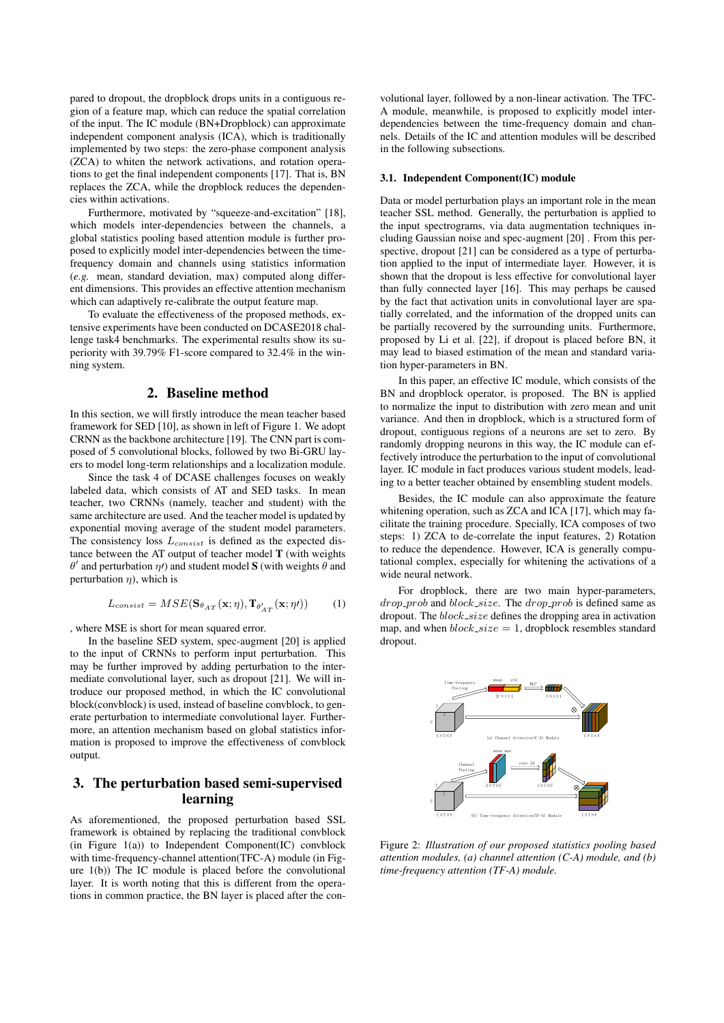pared to dropout, the dropblock drops units in a contiguous region of a feature map, which can reduce the spatial correlation of the input. The IC module (BN+Dropblock) can approximate independent component analysis (ICA), which is traditionally implemented by two steps: the zero-phase component analysis (ZCA) to whiten the network activations, and rotation operations to get the final independent components [17]. That is, BN replaces the ZCA, while the dropblock reduces the dependencies within activations.

Furthermore, motivated by "squeeze-and-excitation" [18], which models inter-dependencies between the channels, a global statistics pooling based attention module is further proposed to explicitly model inter-dependencies between the timefrequency domain and channels using statistics information (*e.g.* mean, standard deviation, max) computed along different dimensions. This provides an effective attention mechanism which can adaptively re-calibrate the output feature map.

To evaluate the effectiveness of the proposed methods, extensive experiments have been conducted on DCASE2018 challenge task4 benchmarks. The experimental results show its superiority with 39.79% F1-score compared to 32.4% in the winning system.

## 2. Baseline method

In this section, we will firstly introduce the mean teacher based framework for SED [10], as shown in left of Figure 1. We adopt CRNN as the backbone architecture [19]. The CNN part is composed of 5 convolutional blocks, followed by two Bi-GRU layers to model long-term relationships and a localization module.

Since the task 4 of DCASE challenges focuses on weakly labeled data, which consists of AT and SED tasks. In mean teacher, two CRNNs (namely, teacher and student) with the same architecture are used. And the teacher model is updated by exponential moving average of the student model parameters. The consistency loss  $L_{consist}$  is defined as the expected distance between the AT output of teacher model T (with weights  $\theta'$  and perturbation  $\eta$ *t*) and student model **S** (with weights  $\theta$  and perturbation  $\eta$ ), which is

$$
L_{consist} = MSE(\mathbf{S}_{\theta_{AT}}(\mathbf{x}; \eta), \mathbf{T}_{\theta'_{AT}}(\mathbf{x}; \eta')) \tag{1}
$$

, where MSE is short for mean squared error.

In the baseline SED system, spec-augment [20] is applied to the input of CRNNs to perform input perturbation. This may be further improved by adding perturbation to the intermediate convolutional layer, such as dropout [21]. We will introduce our proposed method, in which the IC convolutional block(convblock) is used, instead of baseline convblock, to generate perturbation to intermediate convolutional layer. Furthermore, an attention mechanism based on global statistics information is proposed to improve the effectiveness of convblock output.

## 3. The perturbation based semi-supervised learning

As aforementioned, the proposed perturbation based SSL framework is obtained by replacing the traditional convblock (in Figure  $1(a)$ ) to Independent Component(IC) convblock with time-frequency-channel attention(TFC-A) module (in Figure 1(b)) The IC module is placed before the convolutional layer. It is worth noting that this is different from the operations in common practice, the BN layer is placed after the con-

volutional layer, followed by a non-linear activation. The TFC-A module, meanwhile, is proposed to explicitly model interdependencies between the time-frequency domain and channels. Details of the IC and attention modules will be described in the following subsections.

#### 3.1. Independent Component(IC) module

Data or model perturbation plays an important role in the mean teacher SSL method. Generally, the perturbation is applied to the input spectrograms, via data augmentation techniques including Gaussian noise and spec-augment [20] . From this perspective, dropout [21] can be considered as a type of perturbation applied to the input of intermediate layer. However, it is shown that the dropout is less effective for convolutional layer than fully connected layer [16]. This may perhaps be caused by the fact that activation units in convolutional layer are spatially correlated, and the information of the dropped units can be partially recovered by the surrounding units. Furthermore, proposed by Li et al. [22], if dropout is placed before BN, it may lead to biased estimation of the mean and standard variation hyper-parameters in BN.

In this paper, an effective IC module, which consists of the BN and dropblock operator, is proposed. The BN is applied to normalize the input to distribution with zero mean and unit variance. And then in dropblock, which is a structured form of dropout, contiguous regions of a neurons are set to zero. By randomly dropping neurons in this way, the IC module can effectively introduce the perturbation to the input of convolutional layer. IC module in fact produces various student models, leading to a better teacher obtained by ensembling student models.

Besides, the IC module can also approximate the feature whitening operation, such as ZCA and ICA [17], which may facilitate the training procedure. Specially, ICA composes of two steps: 1) ZCA to de-correlate the input features, 2) Rotation to reduce the dependence. However, ICA is generally computational complex, especially for whitening the activations of a wide neural network.

For dropblock, there are two main hyper-parameters,  $drop\_prob$  and  $block\_size$ . The  $drop\_prob$  is defined same as dropout. The  $block\_size$  defines the dropping area in activation map, and when  $block\_size = 1$ , dropblock resembles standard dropout.



Figure 2: *Illustration of our proposed statistics pooling based attention modules, (a) channel attention (C-A) module, and (b) time-frequency attention (TF-A) module.*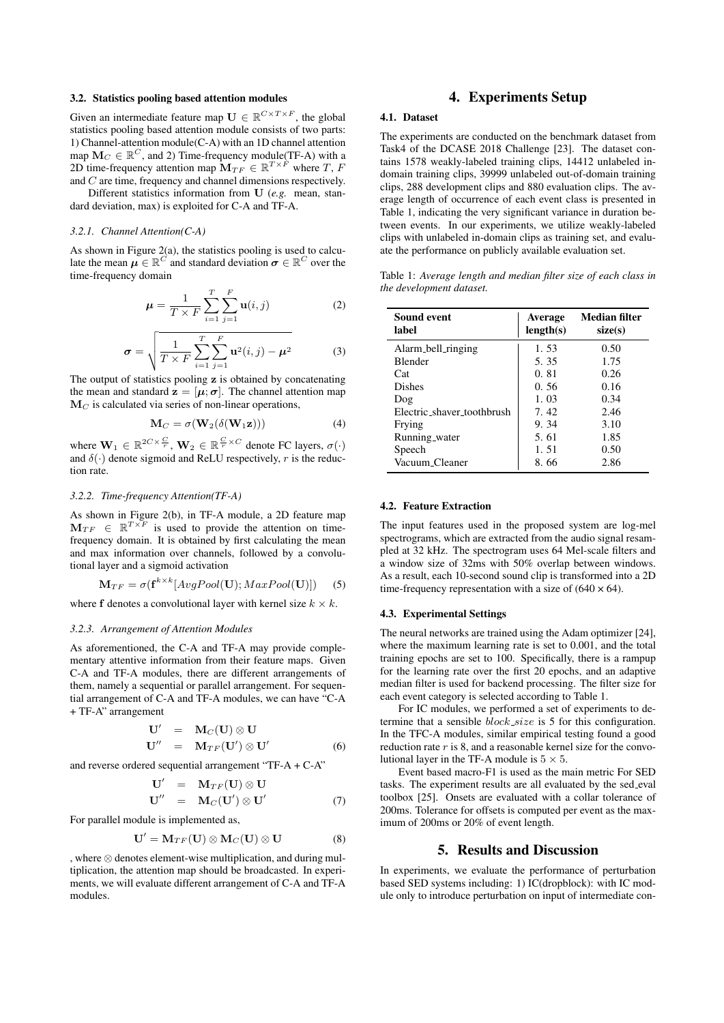#### 3.2. Statistics pooling based attention modules

Given an intermediate feature map  $\mathbf{U} \in \mathbb{R}^{C \times T \times F}$ , the global statistics pooling based attention module consists of two parts: 1) Channel-attention module(C-A) with an 1D channel attention map  $M_C \in \mathbb{R}^C$ , and 2) Time-frequency module(TF-A) with a 2D time-frequency attention map  $\mathbf{M}_{TF} \in \mathbb{R}^{T \times F}$  where T, F and C are time, frequency and channel dimensions respectively.

Different statistics information from U (*e.g.* mean, standard deviation, max) is exploited for C-A and TF-A.

## *3.2.1. Channel Attention(C-A)*

As shown in Figure 2(a), the statistics pooling is used to calculate the mean  $\mu \in \mathbb{R}^C$  and standard deviation  $\sigma \in \mathbb{R}^C$  over the time-frequency domain

$$
\mu = \frac{1}{T \times F} \sum_{i=1}^{T} \sum_{j=1}^{F} \mathbf{u}(i, j)
$$
 (2)

$$
\boldsymbol{\sigma} = \sqrt{\frac{1}{T \times F} \sum_{i=1}^{T} \sum_{j=1}^{F} \mathbf{u}^2(i,j) - \boldsymbol{\mu}^2}
$$
(3)

The output of statistics pooling z is obtained by concatenating the mean and standard  $z = [\mu, \sigma]$ . The channel attention map  $M<sub>C</sub>$  is calculated via series of non-linear operations,

$$
\mathbf{M}_C = \sigma(\mathbf{W}_2(\delta(\mathbf{W}_1 \mathbf{z}))) \tag{4}
$$

where  $\mathbf{W}_1 \in \mathbb{R}^{2C \times \frac{C}{r}}$ ,  $\mathbf{W}_2 \in \mathbb{R}^{\frac{C}{r} \times C}$  denote FC layers,  $\sigma(\cdot)$ and  $\delta(\cdot)$  denote sigmoid and ReLU respectively, r is the reduction rate.

#### *3.2.2. Time-frequency Attention(TF-A)*

As shown in Figure 2(b), in TF-A module, a 2D feature map  $\mathbf{M}_{TF} \in \mathbb{R}^{T \times F}$  is used to provide the attention on timefrequency domain. It is obtained by first calculating the mean and max information over channels, followed by a convolutional layer and a sigmoid activation

$$
\mathbf{M}_{TF} = \sigma(\mathbf{f}^{k \times k}[AvgPool(\mathbf{U});MaxPool(\mathbf{U})]) \quad (5)
$$

where f denotes a convolutional layer with kernel size  $k \times k$ .

#### *3.2.3. Arrangement of Attention Modules*

As aforementioned, the C-A and TF-A may provide complementary attentive information from their feature maps. Given C-A and TF-A modules, there are different arrangements of them, namely a sequential or parallel arrangement. For sequential arrangement of C-A and TF-A modules, we can have "C-A + TF-A" arrangement

$$
\begin{array}{rcl}\n\mathbf{U}' & = & \mathbf{M}_C(\mathbf{U}) \otimes \mathbf{U} \\
\mathbf{U}'' & = & \mathbf{M}_{TF}(\mathbf{U}') \otimes \mathbf{U}'\n\end{array} \tag{6}
$$

and reverse ordered sequential arrangement "TF-A  $+$  C-A"

$$
\begin{array}{rcl}\n\mathbf{U}' & = & \mathbf{M}_{TF}(\mathbf{U}) \otimes \mathbf{U} \\
\mathbf{U}'' & = & \mathbf{M}_C(\mathbf{U}') \otimes \mathbf{U}'\n\end{array} \tag{7}
$$

For parallel module is implemented as,

$$
\mathbf{U}' = \mathbf{M}_{TF}(\mathbf{U}) \otimes \mathbf{M}_C(\mathbf{U}) \otimes \mathbf{U}
$$
 (8)

, where ⊗ denotes element-wise multiplication, and during multiplication, the attention map should be broadcasted. In experiments, we will evaluate different arrangement of C-A and TF-A modules.

## 4. Experiments Setup

#### 4.1. Dataset

The experiments are conducted on the benchmark dataset from Task4 of the DCASE 2018 Challenge [23]. The dataset contains 1578 weakly-labeled training clips, 14412 unlabeled indomain training clips, 39999 unlabeled out-of-domain training clips, 288 development clips and 880 evaluation clips. The average length of occurrence of each event class is presented in Table 1, indicating the very significant variance in duration between events. In our experiments, we utilize weakly-labeled clips with unlabeled in-domain clips as training set, and evaluate the performance on publicly available evaluation set.

| <b>Average</b><br>length(s) | Median filter<br>size(s) |
|-----------------------------|--------------------------|
| 1.53                        | 0.50                     |
| 5.35                        | 1.75                     |
| 0.81                        | 0.26                     |
| 0.56                        | 0.16                     |
| 1.03                        | 0.34                     |
| 7.42                        | 2.46                     |
| 9.34                        | 3.10                     |
| 5.61                        | 1.85                     |
| 1.51                        | 0.50                     |
| 8.66                        | 2.86                     |
|                             |                          |

Table 1: *Average length and median filter size of each class in the development dataset.*

#### 4.2. Feature Extraction

The input features used in the proposed system are log-mel spectrograms, which are extracted from the audio signal resampled at 32 kHz. The spectrogram uses 64 Mel-scale filters and a window size of 32ms with 50% overlap between windows. As a result, each 10-second sound clip is transformed into a 2D time-frequency representation with a size of  $(640 \times 64)$ .

#### 4.3. Experimental Settings

The neural networks are trained using the Adam optimizer [24], where the maximum learning rate is set to 0.001, and the total training epochs are set to 100. Specifically, there is a rampup for the learning rate over the first 20 epochs, and an adaptive median filter is used for backend processing. The filter size for each event category is selected according to Table 1.

For IC modules, we performed a set of experiments to determine that a sensible *block\_size* is 5 for this configuration. In the TFC-A modules, similar empirical testing found a good reduction rate  $r$  is 8, and a reasonable kernel size for the convolutional layer in the TF-A module is  $5 \times 5$ .

Event based macro-F1 is used as the main metric For SED tasks. The experiment results are all evaluated by the sed eval toolbox [25]. Onsets are evaluated with a collar tolerance of 200ms. Tolerance for offsets is computed per event as the maximum of 200ms or 20% of event length.

## 5. Results and Discussion

In experiments, we evaluate the performance of perturbation based SED systems including: 1) IC(dropblock): with IC module only to introduce perturbation on input of intermediate con-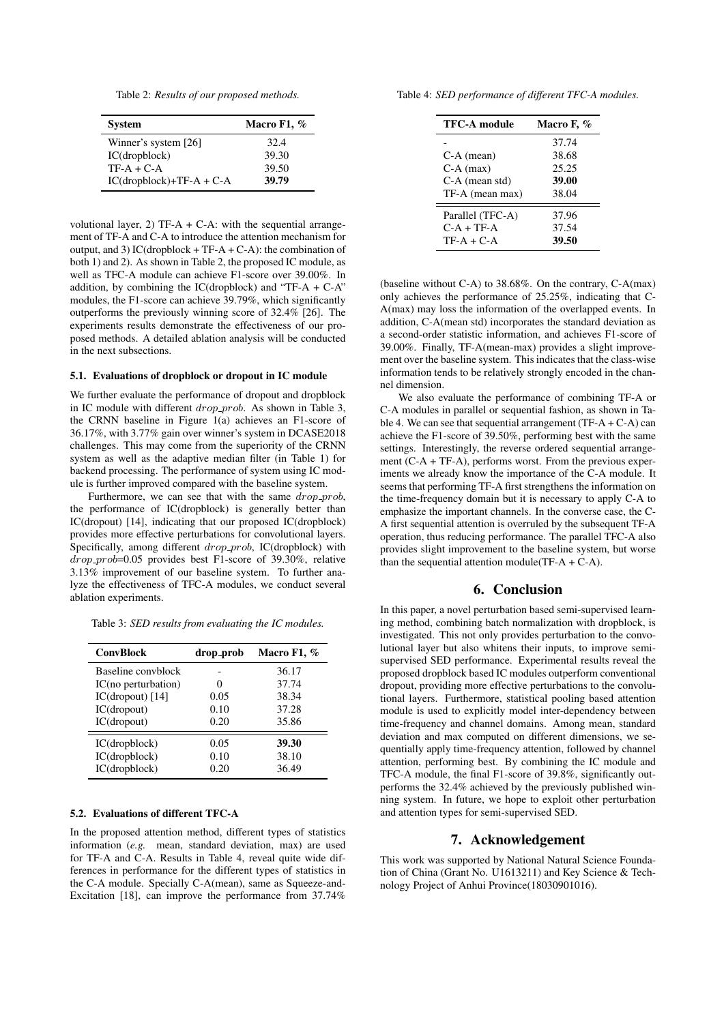Table 2: *Results of our proposed methods.*

| <b>System</b>              | Macro F1, $%$ |
|----------------------------|---------------|
| Winner's system [26]       | 32.4          |
| IC(dropblock)              | 39.30         |
| $TF-A + C-A$               | 39.50         |
| $IC(dropblock)+TF-A + C-A$ | 39.79         |

volutional layer, 2) TF-A + C-A: with the sequential arrangement of TF-A and C-A to introduce the attention mechanism for output, and 3) IC(dropblock + TF-A + C-A): the combination of both 1) and 2). As shown in Table 2, the proposed IC module, as well as TFC-A module can achieve F1-score over 39.00%. In addition, by combining the IC(dropblock) and "TF-A + C-A" modules, the F1-score can achieve 39.79%, which significantly outperforms the previously winning score of 32.4% [26]. The experiments results demonstrate the effectiveness of our proposed methods. A detailed ablation analysis will be conducted in the next subsections.

#### 5.1. Evaluations of dropblock or dropout in IC module

We further evaluate the performance of dropout and dropblock in IC module with different  $drop\_prob$ . As shown in Table 3, the CRNN baseline in Figure 1(a) achieves an F1-score of 36.17%, with 3.77% gain over winner's system in DCASE2018 challenges. This may come from the superiority of the CRNN system as well as the adaptive median filter (in Table 1) for backend processing. The performance of system using IC module is further improved compared with the baseline system.

Furthermore, we can see that with the same  $drop\_prob$ , the performance of IC(dropblock) is generally better than IC(dropout) [14], indicating that our proposed IC(dropblock) provides more effective perturbations for convolutional layers. Specifically, among different drop-prob, IC(dropblock) with  $drop\_prob=0.05$  provides best F1-score of 39.30%, relative 3.13% improvement of our baseline system. To further analyze the effectiveness of TFC-A modules, we conduct several ablation experiments.

Table 3: *SED results from evaluating the IC modules.*

| <b>ConvBlock</b>    | drop_prob | Macro F1, % |
|---------------------|-----------|-------------|
| Baseline convblock  |           | 36.17       |
| IC(no perturbation) |           | 37.74       |
| $IC(dropout)$ [14]  | 0.05      | 38.34       |
| IC(dropout)         | 0.10      | 37.28       |
| IC(dropout)         | 0.20      | 35.86       |
| IC(dropblock)       | 0.05      | 39.30       |
| IC(dropblock)       | 0.10      | 38.10       |
| IC(dropblock)       | 0.20      | 36.49       |

#### 5.2. Evaluations of different TFC-A

In the proposed attention method, different types of statistics information (*e.g.* mean, standard deviation, max) are used for TF-A and C-A. Results in Table 4, reveal quite wide differences in performance for the different types of statistics in the C-A module. Specially C-A(mean), same as Squeeze-and-Excitation [18], can improve the performance from 37.74%

Table 4: *SED performance of different TFC-A modules.*

| <b>TFC-A module</b> | Macro F, % |
|---------------------|------------|
|                     | 37.74      |
| C-A (mean)          | 38.68      |
| $C-A$ (max)         | 25.25      |
| C-A (mean std)      | 39.00      |
| TF-A (mean max)     | 38.04      |
| Parallel (TFC-A)    | 37.96      |
| $C-A + TF-A$        | 37.54      |
| $TF-A + C-A$        | 39.50      |

(baseline without C-A) to 38.68%. On the contrary, C-A(max) only achieves the performance of 25.25%, indicating that C-A(max) may loss the information of the overlapped events. In addition, C-A(mean std) incorporates the standard deviation as a second-order statistic information, and achieves F1-score of 39.00%. Finally, TF-A(mean-max) provides a slight improvement over the baseline system. This indicates that the class-wise information tends to be relatively strongly encoded in the channel dimension.

We also evaluate the performance of combining TF-A or C-A modules in parallel or sequential fashion, as shown in Table 4. We can see that sequential arrangement  $(TF-A+C-A)$  can achieve the F1-score of 39.50%, performing best with the same settings. Interestingly, the reverse ordered sequential arrangement (C-A + TF-A), performs worst. From the previous experiments we already know the importance of the C-A module. It seems that performing TF-A first strengthens the information on the time-frequency domain but it is necessary to apply C-A to emphasize the important channels. In the converse case, the C-A first sequential attention is overruled by the subsequent TF-A operation, thus reducing performance. The parallel TFC-A also provides slight improvement to the baseline system, but worse than the sequential attention module( $TF-A + C-A$ ).

## 6. Conclusion

In this paper, a novel perturbation based semi-supervised learning method, combining batch normalization with dropblock, is investigated. This not only provides perturbation to the convolutional layer but also whitens their inputs, to improve semisupervised SED performance. Experimental results reveal the proposed dropblock based IC modules outperform conventional dropout, providing more effective perturbations to the convolutional layers. Furthermore, statistical pooling based attention module is used to explicitly model inter-dependency between time-frequency and channel domains. Among mean, standard deviation and max computed on different dimensions, we sequentially apply time-frequency attention, followed by channel attention, performing best. By combining the IC module and TFC-A module, the final F1-score of 39.8%, significantly outperforms the 32.4% achieved by the previously published winning system. In future, we hope to exploit other perturbation and attention types for semi-supervised SED.

## 7. Acknowledgement

This work was supported by National Natural Science Foundation of China (Grant No. U1613211) and Key Science & Technology Project of Anhui Province(18030901016).